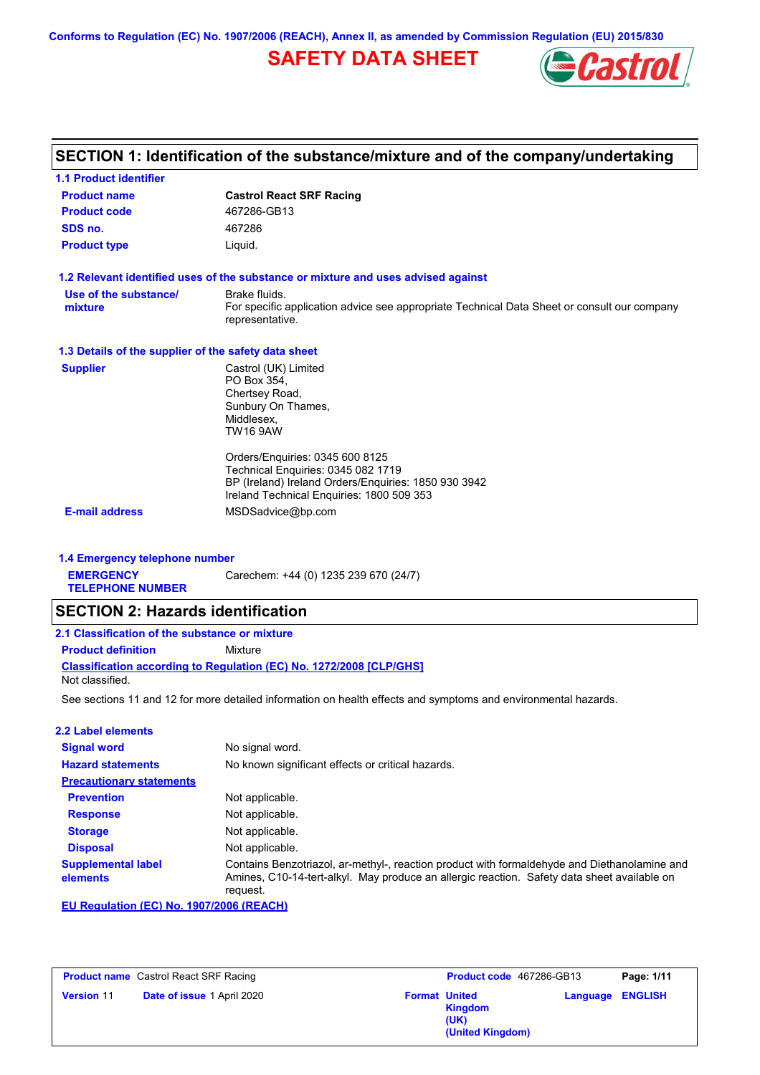**Conforms to Regulation (EC) No. 1907/2006 (REACH), Annex II, as amended by Commission Regulation (EU) 2015/830**

# **SAFETY DATA SHEET**



## **SECTION 1: Identification of the substance/mixture and of the company/undertaking**

| <b>1.1 Product identifier</b>                        |                                                                                                                                                                            |
|------------------------------------------------------|----------------------------------------------------------------------------------------------------------------------------------------------------------------------------|
| <b>Product name</b>                                  | <b>Castrol React SRF Racing</b>                                                                                                                                            |
| <b>Product code</b>                                  | 467286-GB13                                                                                                                                                                |
| SDS no.                                              | 467286                                                                                                                                                                     |
| <b>Product type</b>                                  | Liquid.                                                                                                                                                                    |
|                                                      | 1.2 Relevant identified uses of the substance or mixture and uses advised against                                                                                          |
| Use of the substance/<br>mixture                     | Brake fluids.<br>For specific application advice see appropriate Technical Data Sheet or consult our company<br>representative.                                            |
| 1.3 Details of the supplier of the safety data sheet |                                                                                                                                                                            |
| <b>Supplier</b>                                      | Castrol (UK) Limited<br>PO Box 354.<br>Chertsey Road,<br>Sunbury On Thames,<br>Middlesex.<br><b>TW16 9AW</b>                                                               |
|                                                      | Orders/Enquiries: 0345 600 8125<br>Technical Enguiries: 0345 082 1719<br>BP (Ireland) Ireland Orders/Enquiries: 1850 930 3942<br>Ireland Technical Enquiries: 1800 509 353 |
| <b>E-mail address</b>                                | MSDSadvice@bp.com                                                                                                                                                          |
|                                                      |                                                                                                                                                                            |

### **1.4 Emergency telephone number**

**EMERGENCY**  Carechem: +44 (0) 1235 239 670 (24/7)

**TELEPHONE NUMBER**

## **SECTION 2: Hazards identification**

| 2.1 Classification of the substance or mixture |                                                                     |  |
|------------------------------------------------|---------------------------------------------------------------------|--|
| <b>Product definition</b>                      | Mixture                                                             |  |
|                                                | Classification according to Regulation (EC) No. 1272/2008 [CLP/GHS] |  |
| Not classified.                                |                                                                     |  |

See sections 11 and 12 for more detailed information on health effects and symptoms and environmental hazards.

#### **2.2 Label elements**

| <b>Signal word</b>                    | No signal word.                                                                                                                                                                                         |
|---------------------------------------|---------------------------------------------------------------------------------------------------------------------------------------------------------------------------------------------------------|
| <b>Hazard statements</b>              | No known significant effects or critical hazards.                                                                                                                                                       |
| <b>Precautionary statements</b>       |                                                                                                                                                                                                         |
| <b>Prevention</b>                     | Not applicable.                                                                                                                                                                                         |
| <b>Response</b>                       | Not applicable.                                                                                                                                                                                         |
| <b>Storage</b>                        | Not applicable.                                                                                                                                                                                         |
| <b>Disposal</b>                       | Not applicable.                                                                                                                                                                                         |
| <b>Supplemental label</b><br>elements | Contains Benzotriazol, ar-methyl-, reaction product with formaldehyde and Diethanolamine and<br>Amines, C10-14-tert-alkyl. May produce an allergic reaction. Safety data sheet available on<br>reguest. |

**EU Regulation (EC) No. 1907/2006 (REACH)**

| <b>Product name</b> Castrol React SRF Racing |                                   | Product code 467286-GB13 |                                                                    | Page: 1/11              |  |
|----------------------------------------------|-----------------------------------|--------------------------|--------------------------------------------------------------------|-------------------------|--|
| <b>Version 11</b>                            | <b>Date of issue 1 April 2020</b> |                          | <b>Format United</b><br><b>Kingdom</b><br>(UK)<br>(United Kingdom) | <b>Language ENGLISH</b> |  |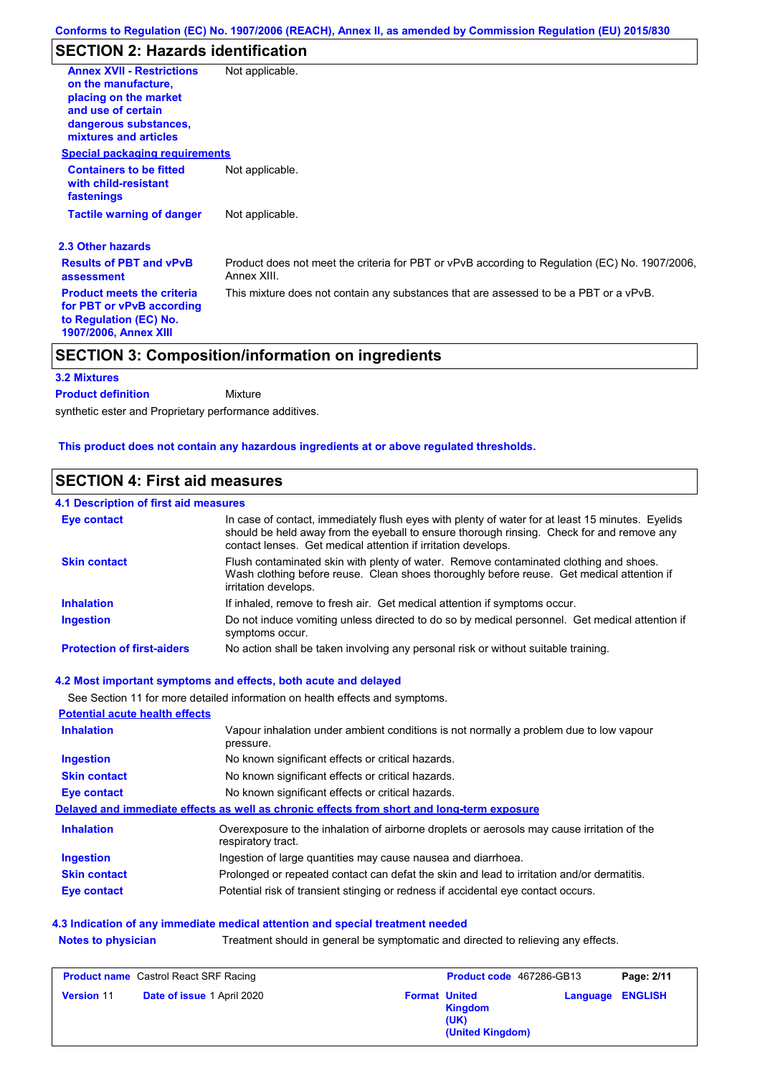## **SECTION 2: Hazards identification**

| <b>Annex XVII - Restrictions</b>                                                                                         | Not applicable.                                                                                               |
|--------------------------------------------------------------------------------------------------------------------------|---------------------------------------------------------------------------------------------------------------|
| on the manufacture.                                                                                                      |                                                                                                               |
| placing on the market                                                                                                    |                                                                                                               |
| and use of certain                                                                                                       |                                                                                                               |
| dangerous substances,<br>mixtures and articles                                                                           |                                                                                                               |
| <b>Special packaging requirements</b>                                                                                    |                                                                                                               |
| <b>Containers to be fitted</b><br>with child-resistant<br>fastenings                                                     | Not applicable.                                                                                               |
| <b>Tactile warning of danger</b>                                                                                         | Not applicable.                                                                                               |
| 2.3 Other hazards                                                                                                        |                                                                                                               |
| <b>Results of PBT and vPvB</b><br>assessment                                                                             | Product does not meet the criteria for PBT or vPvB according to Regulation (EC) No. 1907/2006,<br>Annex XIII. |
| <b>Product meets the criteria</b><br>for PBT or vPvB according<br>to Regulation (EC) No.<br><b>1907/2006, Annex XIII</b> | This mixture does not contain any substances that are assessed to be a PBT or a vPvB.                         |

### **3.2 Mixtures**

synthetic ester and Proprietary performance additives. Mixture **Product definition**

**This product does not contain any hazardous ingredients at or above regulated thresholds.**

## **SECTION 4: First aid measures**

#### Do not induce vomiting unless directed to do so by medical personnel. Get medical attention if symptoms occur. In case of contact, immediately flush eyes with plenty of water for at least 15 minutes. Eyelids should be held away from the eyeball to ensure thorough rinsing. Check for and remove any contact lenses. Get medical attention if irritation develops. **4.1 Description of first aid measures** If inhaled, remove to fresh air. Get medical attention if symptoms occur. **Ingestion Inhalation Eye contact Protection of first-aiders** No action shall be taken involving any personal risk or without suitable training. **Skin contact** Flush contaminated skin with plenty of water. Remove contaminated clothing and shoes. Wash clothing before reuse. Clean shoes thoroughly before reuse. Get medical attention if irritation develops.

### **4.2 Most important symptoms and effects, both acute and delayed**

See Section 11 for more detailed information on health effects and symptoms.

| <b>Potential acute health effects</b> |                                                                                                                   |
|---------------------------------------|-------------------------------------------------------------------------------------------------------------------|
| <b>Inhalation</b>                     | Vapour inhalation under ambient conditions is not normally a problem due to low vapour<br>pressure.               |
| <b>Ingestion</b>                      | No known significant effects or critical hazards.                                                                 |
| <b>Skin contact</b>                   | No known significant effects or critical hazards.                                                                 |
| Eye contact                           | No known significant effects or critical hazards.                                                                 |
|                                       | Delayed and immediate effects as well as chronic effects from short and long-term exposure                        |
| <b>Inhalation</b>                     | Overexposure to the inhalation of airborne droplets or aerosols may cause irritation of the<br>respiratory tract. |
| <b>Ingestion</b>                      | Ingestion of large quantities may cause nausea and diarrhoea.                                                     |
| <b>Skin contact</b>                   | Prolonged or repeated contact can defat the skin and lead to irritation and/or dermatitis.                        |
| Eye contact                           | Potential risk of transient stinging or redness if accidental eye contact occurs.                                 |

### **Notes to physician** Treatment should in general be symptomatic and directed to relieving any effects. **4.3 Indication of any immediate medical attention and special treatment needed**

| <b>Product name</b> Castrol React SRF Racing |                                   | Product code 467286-GB13 |                                                                    | Page: 2/11              |  |
|----------------------------------------------|-----------------------------------|--------------------------|--------------------------------------------------------------------|-------------------------|--|
| <b>Version 11</b>                            | <b>Date of issue 1 April 2020</b> |                          | <b>Format United</b><br><b>Kingdom</b><br>(UK)<br>(United Kingdom) | <b>Language ENGLISH</b> |  |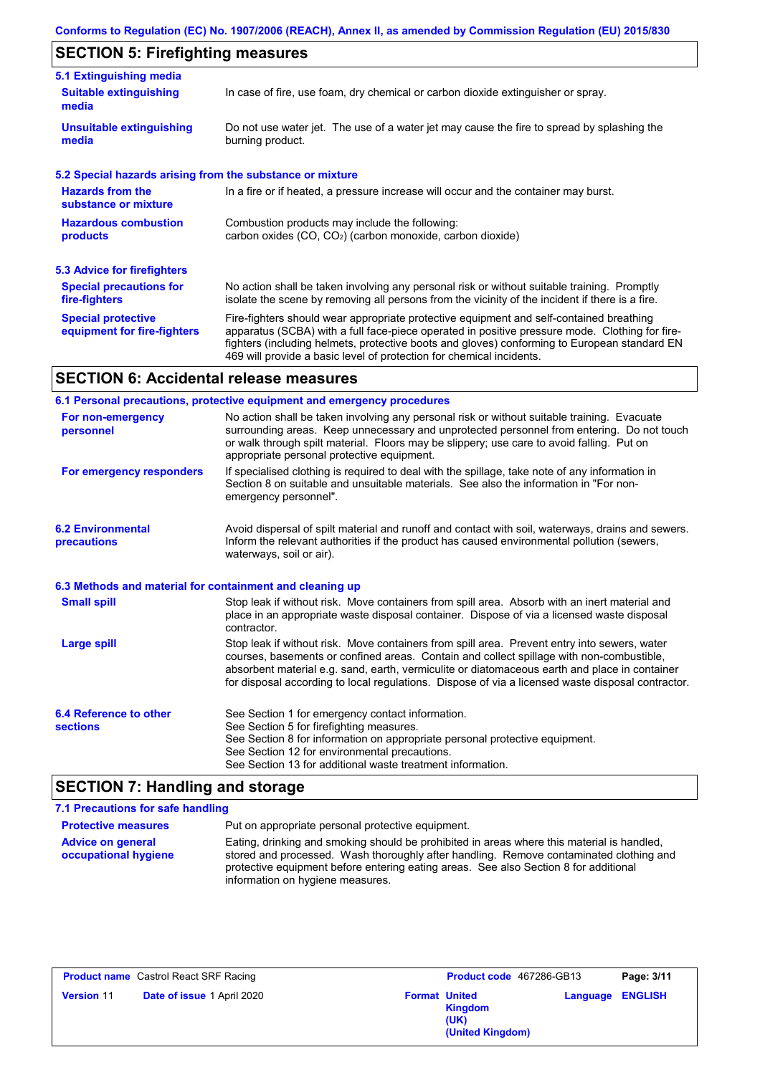# **SECTION 5: Firefighting measures**

| 5.1 Extinguishing media                                   |                                                                                                                                                                                                                                                                                                                                                                   |
|-----------------------------------------------------------|-------------------------------------------------------------------------------------------------------------------------------------------------------------------------------------------------------------------------------------------------------------------------------------------------------------------------------------------------------------------|
| <b>Suitable extinguishing</b><br>media                    | In case of fire, use foam, dry chemical or carbon dioxide extinguisher or spray.                                                                                                                                                                                                                                                                                  |
| <b>Unsuitable extinguishing</b><br>media                  | Do not use water jet. The use of a water jet may cause the fire to spread by splashing the<br>burning product.                                                                                                                                                                                                                                                    |
| 5.2 Special hazards arising from the substance or mixture |                                                                                                                                                                                                                                                                                                                                                                   |
| <b>Hazards from the</b><br>substance or mixture           | In a fire or if heated, a pressure increase will occur and the container may burst.                                                                                                                                                                                                                                                                               |
| <b>Hazardous combustion</b><br>products                   | Combustion products may include the following:<br>carbon oxides $(CO, CO2)$ (carbon monoxide, carbon dioxide)                                                                                                                                                                                                                                                     |
| 5.3 Advice for firefighters                               |                                                                                                                                                                                                                                                                                                                                                                   |
| <b>Special precautions for</b><br>fire-fighters           | No action shall be taken involving any personal risk or without suitable training. Promptly<br>isolate the scene by removing all persons from the vicinity of the incident if there is a fire.                                                                                                                                                                    |
| <b>Special protective</b><br>equipment for fire-fighters  | Fire-fighters should wear appropriate protective equipment and self-contained breathing<br>apparatus (SCBA) with a full face-piece operated in positive pressure mode. Clothing for fire-<br>fighters (including helmets, protective boots and gloves) conforming to European standard EN<br>469 will provide a basic level of protection for chemical incidents. |

# **SECTION 6: Accidental release measures**

|                                                          | 6.1 Personal precautions, protective equipment and emergency procedures                                                                                                                                                                                                                                                                                                                        |
|----------------------------------------------------------|------------------------------------------------------------------------------------------------------------------------------------------------------------------------------------------------------------------------------------------------------------------------------------------------------------------------------------------------------------------------------------------------|
| For non-emergency<br>personnel                           | No action shall be taken involving any personal risk or without suitable training. Evacuate<br>surrounding areas. Keep unnecessary and unprotected personnel from entering. Do not touch<br>or walk through spilt material. Floors may be slippery; use care to avoid falling. Put on<br>appropriate personal protective equipment.                                                            |
| For emergency responders                                 | If specialised clothing is required to deal with the spillage, take note of any information in<br>Section 8 on suitable and unsuitable materials. See also the information in "For non-<br>emergency personnel".                                                                                                                                                                               |
| <b>6.2 Environmental</b><br>precautions                  | Avoid dispersal of spilt material and runoff and contact with soil, waterways, drains and sewers.<br>Inform the relevant authorities if the product has caused environmental pollution (sewers,<br>waterways, soil or air).                                                                                                                                                                    |
| 6.3 Methods and material for containment and cleaning up |                                                                                                                                                                                                                                                                                                                                                                                                |
| <b>Small spill</b>                                       | Stop leak if without risk. Move containers from spill area. Absorb with an inert material and<br>place in an appropriate waste disposal container. Dispose of via a licensed waste disposal<br>contractor.                                                                                                                                                                                     |
| Large spill                                              | Stop leak if without risk. Move containers from spill area. Prevent entry into sewers, water<br>courses, basements or confined areas. Contain and collect spillage with non-combustible,<br>absorbent material e.g. sand, earth, vermiculite or diatomaceous earth and place in container<br>for disposal according to local regulations. Dispose of via a licensed waste disposal contractor. |
| 6.4 Reference to other<br><b>sections</b>                | See Section 1 for emergency contact information.<br>See Section 5 for firefighting measures.<br>See Section 8 for information on appropriate personal protective equipment.<br>See Section 12 for environmental precautions.<br>See Section 13 for additional waste treatment information.                                                                                                     |

# **SECTION 7: Handling and storage**

| 7.1 Precautions for safe handling                |                                                                                                                                                                                                                                                                                                                  |
|--------------------------------------------------|------------------------------------------------------------------------------------------------------------------------------------------------------------------------------------------------------------------------------------------------------------------------------------------------------------------|
| <b>Protective measures</b>                       | Put on appropriate personal protective equipment.                                                                                                                                                                                                                                                                |
| <b>Advice on general</b><br>occupational hygiene | Eating, drinking and smoking should be prohibited in areas where this material is handled,<br>stored and processed. Wash thoroughly after handling. Remove contaminated clothing and<br>protective equipment before entering eating areas. See also Section 8 for additional<br>information on hygiene measures. |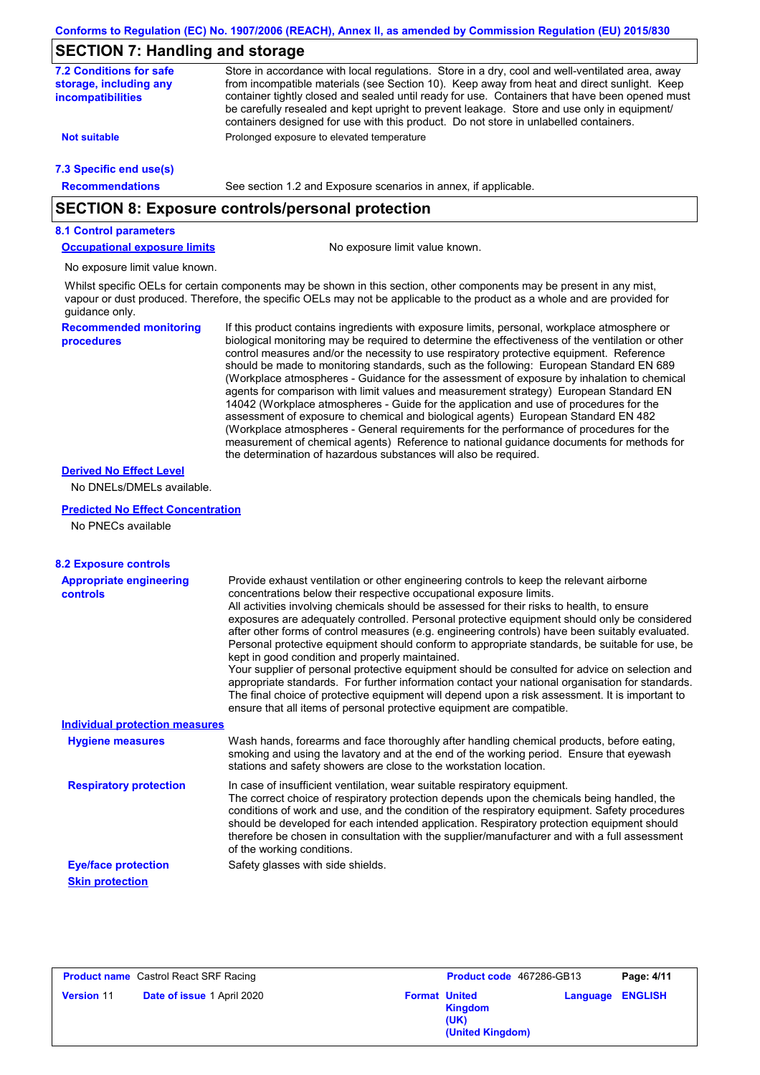# **SECTION 7: Handling and storage**

| - <b>. .</b> .                                                                | יש מייט סיט מייט פי                                                                                                                                                                                                                                                                                                                                                                                                                                                                                                                                                                                                                                                                                                                                                                                                                                                                                                                                                                                                        |  |  |  |  |
|-------------------------------------------------------------------------------|----------------------------------------------------------------------------------------------------------------------------------------------------------------------------------------------------------------------------------------------------------------------------------------------------------------------------------------------------------------------------------------------------------------------------------------------------------------------------------------------------------------------------------------------------------------------------------------------------------------------------------------------------------------------------------------------------------------------------------------------------------------------------------------------------------------------------------------------------------------------------------------------------------------------------------------------------------------------------------------------------------------------------|--|--|--|--|
| <b>7.2 Conditions for safe</b><br>storage, including any<br>incompatibilities | Store in accordance with local regulations. Store in a dry, cool and well-ventilated area, away<br>from incompatible materials (see Section 10). Keep away from heat and direct sunlight. Keep<br>container tightly closed and sealed until ready for use. Containers that have been opened must<br>be carefully resealed and kept upright to prevent leakage. Store and use only in equipment/<br>containers designed for use with this product. Do not store in unlabelled containers.                                                                                                                                                                                                                                                                                                                                                                                                                                                                                                                                   |  |  |  |  |
| <b>Not suitable</b>                                                           | Prolonged exposure to elevated temperature                                                                                                                                                                                                                                                                                                                                                                                                                                                                                                                                                                                                                                                                                                                                                                                                                                                                                                                                                                                 |  |  |  |  |
| 7.3 Specific end use(s)                                                       |                                                                                                                                                                                                                                                                                                                                                                                                                                                                                                                                                                                                                                                                                                                                                                                                                                                                                                                                                                                                                            |  |  |  |  |
| <b>Recommendations</b>                                                        | See section 1.2 and Exposure scenarios in annex, if applicable.                                                                                                                                                                                                                                                                                                                                                                                                                                                                                                                                                                                                                                                                                                                                                                                                                                                                                                                                                            |  |  |  |  |
|                                                                               | <b>SECTION 8: Exposure controls/personal protection</b>                                                                                                                                                                                                                                                                                                                                                                                                                                                                                                                                                                                                                                                                                                                                                                                                                                                                                                                                                                    |  |  |  |  |
| <b>8.1 Control parameters</b>                                                 |                                                                                                                                                                                                                                                                                                                                                                                                                                                                                                                                                                                                                                                                                                                                                                                                                                                                                                                                                                                                                            |  |  |  |  |
| <b>Occupational exposure limits</b>                                           | No exposure limit value known.                                                                                                                                                                                                                                                                                                                                                                                                                                                                                                                                                                                                                                                                                                                                                                                                                                                                                                                                                                                             |  |  |  |  |
| No exposure limit value known.                                                |                                                                                                                                                                                                                                                                                                                                                                                                                                                                                                                                                                                                                                                                                                                                                                                                                                                                                                                                                                                                                            |  |  |  |  |
| guidance only.                                                                | Whilst specific OELs for certain components may be shown in this section, other components may be present in any mist,<br>vapour or dust produced. Therefore, the specific OELs may not be applicable to the product as a whole and are provided for                                                                                                                                                                                                                                                                                                                                                                                                                                                                                                                                                                                                                                                                                                                                                                       |  |  |  |  |
| <b>Recommended monitoring</b><br>procedures                                   | If this product contains ingredients with exposure limits, personal, workplace atmosphere or<br>biological monitoring may be required to determine the effectiveness of the ventilation or other<br>control measures and/or the necessity to use respiratory protective equipment. Reference<br>should be made to monitoring standards, such as the following: European Standard EN 689<br>(Workplace atmospheres - Guidance for the assessment of exposure by inhalation to chemical<br>agents for comparison with limit values and measurement strategy) European Standard EN<br>14042 (Workplace atmospheres - Guide for the application and use of procedures for the<br>assessment of exposure to chemical and biological agents) European Standard EN 482<br>(Workplace atmospheres - General requirements for the performance of procedures for the<br>measurement of chemical agents) Reference to national guidance documents for methods for<br>the determination of hazardous substances will also be required. |  |  |  |  |
| <b>Derived No Effect Level</b>                                                |                                                                                                                                                                                                                                                                                                                                                                                                                                                                                                                                                                                                                                                                                                                                                                                                                                                                                                                                                                                                                            |  |  |  |  |
| No DNELs/DMELs available.                                                     |                                                                                                                                                                                                                                                                                                                                                                                                                                                                                                                                                                                                                                                                                                                                                                                                                                                                                                                                                                                                                            |  |  |  |  |
| <b>Predicted No Effect Concentration</b>                                      |                                                                                                                                                                                                                                                                                                                                                                                                                                                                                                                                                                                                                                                                                                                                                                                                                                                                                                                                                                                                                            |  |  |  |  |
| No PNECs available                                                            |                                                                                                                                                                                                                                                                                                                                                                                                                                                                                                                                                                                                                                                                                                                                                                                                                                                                                                                                                                                                                            |  |  |  |  |
| <b>8.2 Exposure controls</b>                                                  |                                                                                                                                                                                                                                                                                                                                                                                                                                                                                                                                                                                                                                                                                                                                                                                                                                                                                                                                                                                                                            |  |  |  |  |
| <b>Appropriate engineering</b>                                                | Provide exhaust ventilation or other engineering controls to keep the relevant airborne                                                                                                                                                                                                                                                                                                                                                                                                                                                                                                                                                                                                                                                                                                                                                                                                                                                                                                                                    |  |  |  |  |
| controls                                                                      | concentrations below their respective occupational exposure limits.<br>All activities involving chemicals should be assessed for their risks to health, to ensure<br>exposures are adequately controlled. Personal protective equipment should only be considered<br>after other forms of control measures (e.g. engineering controls) have been suitably evaluated.<br>Personal protective equipment should conform to appropriate standards, be suitable for use, be<br>kept in good condition and properly maintained.<br>Your supplier of personal protective equipment should be consulted for advice on selection and<br>appropriate standards. For further information contact your national organisation for standards.<br>The final choice of protective equipment will depend upon a risk assessment. It is important to<br>ensure that all items of personal protective equipment are compatible.                                                                                                               |  |  |  |  |
| <b>Individual protection measures</b>                                         |                                                                                                                                                                                                                                                                                                                                                                                                                                                                                                                                                                                                                                                                                                                                                                                                                                                                                                                                                                                                                            |  |  |  |  |
| <b>Hygiene measures</b>                                                       | Wash hands, forearms and face thoroughly after handling chemical products, before eating,<br>smoking and using the lavatory and at the end of the working period. Ensure that eyewash<br>stations and safety showers are close to the workstation location.                                                                                                                                                                                                                                                                                                                                                                                                                                                                                                                                                                                                                                                                                                                                                                |  |  |  |  |
| <b>Respiratory protection</b>                                                 | In case of insufficient ventilation, wear suitable respiratory equipment.<br>The correct choice of respiratory protection depends upon the chemicals being handled, the<br>conditions of work and use, and the condition of the respiratory equipment. Safety procedures<br>should be developed for each intended application. Respiratory protection equipment should<br>therefore be chosen in consultation with the supplier/manufacturer and with a full assessment<br>of the working conditions.                                                                                                                                                                                                                                                                                                                                                                                                                                                                                                                      |  |  |  |  |
|                                                                               | Safety glasses with side shields.                                                                                                                                                                                                                                                                                                                                                                                                                                                                                                                                                                                                                                                                                                                                                                                                                                                                                                                                                                                          |  |  |  |  |
| <b>Eye/face protection</b>                                                    |                                                                                                                                                                                                                                                                                                                                                                                                                                                                                                                                                                                                                                                                                                                                                                                                                                                                                                                                                                                                                            |  |  |  |  |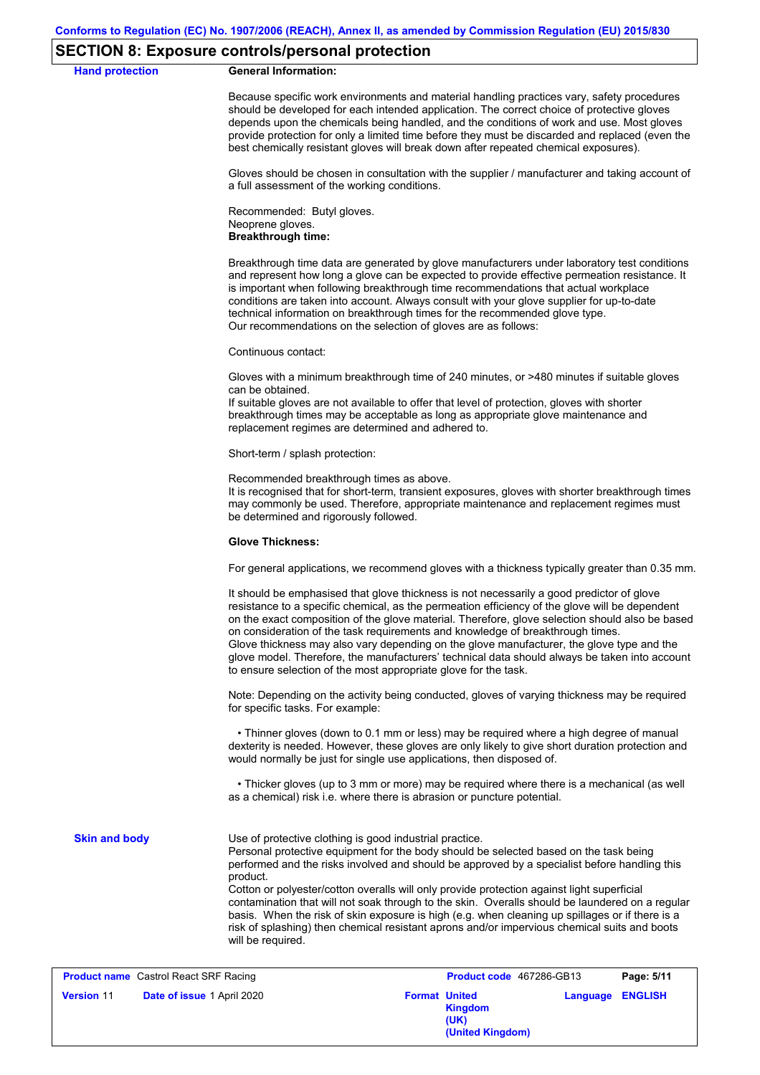### **SECTION 8: Exposure controls/personal protection**

## **Hand protection General Information:** Because specific work environments and material handling practices vary, safety procedures should be developed for each intended application. The correct choice of protective gloves depends upon the chemicals being handled, and the conditions of work and use. Most gloves provide protection for only a limited time before they must be discarded and replaced (even the best chemically resistant gloves will break down after repeated chemical exposures). Gloves should be chosen in consultation with the supplier / manufacturer and taking account of a full assessment of the working conditions. Recommended: Butyl gloves. Neoprene gloves. **Breakthrough time:** Breakthrough time data are generated by glove manufacturers under laboratory test conditions and represent how long a glove can be expected to provide effective permeation resistance. It is important when following breakthrough time recommendations that actual workplace conditions are taken into account. Always consult with your glove supplier for up-to-date technical information on breakthrough times for the recommended glove type. Our recommendations on the selection of gloves are as follows: Continuous contact: Gloves with a minimum breakthrough time of 240 minutes, or >480 minutes if suitable gloves can be obtained. If suitable gloves are not available to offer that level of protection, gloves with shorter breakthrough times may be acceptable as long as appropriate glove maintenance and replacement regimes are determined and adhered to. Short-term / splash protection: Recommended breakthrough times as above. It is recognised that for short-term, transient exposures, gloves with shorter breakthrough times may commonly be used. Therefore, appropriate maintenance and replacement regimes must be determined and rigorously followed. **Glove Thickness:** For general applications, we recommend gloves with a thickness typically greater than 0.35 mm. It should be emphasised that glove thickness is not necessarily a good predictor of glove resistance to a specific chemical, as the permeation efficiency of the glove will be dependent on the exact composition of the glove material. Therefore, glove selection should also be based on consideration of the task requirements and knowledge of breakthrough times. Glove thickness may also vary depending on the glove manufacturer, the glove type and the glove model. Therefore, the manufacturers' technical data should always be taken into account to ensure selection of the most appropriate glove for the task. Note: Depending on the activity being conducted, gloves of varying thickness may be required for specific tasks. For example: • Thinner gloves (down to 0.1 mm or less) may be required where a high degree of manual dexterity is needed. However, these gloves are only likely to give short duration protection and would normally be just for single use applications, then disposed of. • Thicker gloves (up to 3 mm or more) may be required where there is a mechanical (as well as a chemical) risk i.e. where there is abrasion or puncture potential. Use of protective clothing is good industrial practice. Personal protective equipment for the body should be selected based on the task being performed and the risks involved and should be approved by a specialist before handling this product. Cotton or polyester/cotton overalls will only provide protection against light superficial contamination that will not soak through to the skin. Overalls should be laundered on a regular basis. When the risk of skin exposure is high (e.g. when cleaning up spillages or if there is a risk of splashing) then chemical resistant aprons and/or impervious chemical suits and boots will be required. **Skin and body Product name** Castrol React SRF Racing **Product code** 467286-GB13 **Page: 5/11**

|                   | <b>Product name</b> Castrol React SRF Racing |                      | <b>Product code</b> 467286-GB13     |                         | Page: 5/11 |
|-------------------|----------------------------------------------|----------------------|-------------------------------------|-------------------------|------------|
| <b>Version 11</b> | <b>Date of issue 1 April 2020</b>            | <b>Format United</b> | Kingdom<br>(UK)<br>(United Kingdom) | <b>Language ENGLISH</b> |            |
|                   |                                              |                      |                                     |                         |            |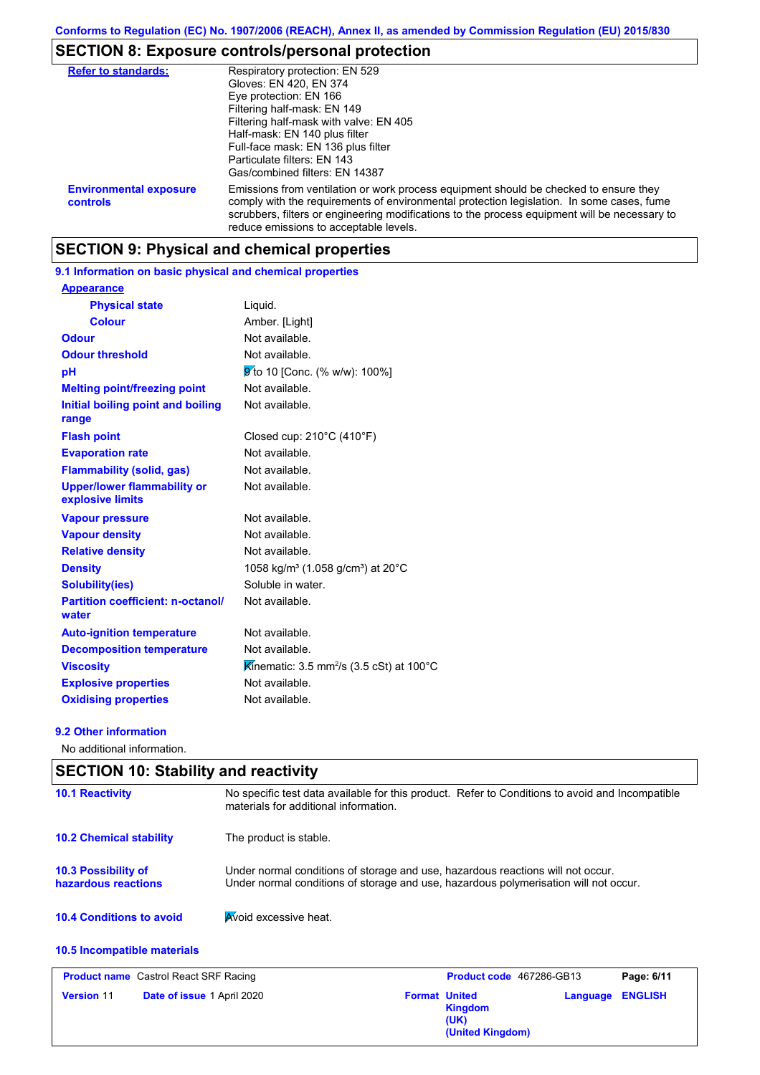# **SECTION 8: Exposure controls/personal protection**

| <b>Refer to standards:</b>                | Respiratory protection: EN 529<br>Gloves: EN 420, EN 374<br>Eye protection: EN 166<br>Filtering half-mask: EN 149<br>Filtering half-mask with valve: EN 405<br>Half-mask: EN 140 plus filter<br>Full-face mask: EN 136 plus filter<br>Particulate filters: EN 143<br>Gas/combined filters: EN 14387                           |
|-------------------------------------------|-------------------------------------------------------------------------------------------------------------------------------------------------------------------------------------------------------------------------------------------------------------------------------------------------------------------------------|
| <b>Environmental exposure</b><br>controls | Emissions from ventilation or work process equipment should be checked to ensure they<br>comply with the requirements of environmental protection legislation. In some cases, fume<br>scrubbers, filters or engineering modifications to the process equipment will be necessary to<br>reduce emissions to acceptable levels. |

### **SECTION 9: Physical and chemical properties**

### **9.1 Information on basic physical and chemical properties**

| <b>Appearance</b>                                      |                                                           |
|--------------------------------------------------------|-----------------------------------------------------------|
| <b>Physical state</b>                                  | Liquid.                                                   |
| <b>Colour</b>                                          | Amber. [Light]                                            |
| <b>Odour</b>                                           | Not available.                                            |
| <b>Odour threshold</b>                                 | Not available.                                            |
| рH                                                     | 9 to 10 [Conc. (% w/w): 100%]                             |
| <b>Melting point/freezing point</b>                    | Not available.                                            |
| Initial boiling point and boiling<br>range             | Not available.                                            |
| <b>Flash point</b>                                     | Closed cup: 210°C (410°F)                                 |
| <b>Evaporation rate</b>                                | Not available.                                            |
| <b>Flammability (solid, gas)</b>                       | Not available.                                            |
| <b>Upper/lower flammability or</b><br>explosive limits | Not available.                                            |
| <b>Vapour pressure</b>                                 | Not available.                                            |
| <b>Vapour density</b>                                  | Not available.                                            |
| <b>Relative density</b>                                | Not available.                                            |
| <b>Density</b>                                         | 1058 kg/m <sup>3</sup> (1.058 g/cm <sup>3</sup> ) at 20°C |
| <b>Solubility(ies)</b>                                 | Soluble in water.                                         |
| <b>Partition coefficient: n-octanol/</b><br>water      | Not available.                                            |
| <b>Auto-ignition temperature</b>                       | Not available.                                            |
| <b>Decomposition temperature</b>                       | Not available.                                            |
| <b>Viscosity</b>                                       | Kinematic: 3.5 mm <sup>2</sup> /s (3.5 cSt) at 100°C      |
| <b>Explosive properties</b>                            | Not available.                                            |
| <b>Oxidising properties</b>                            | Not available.                                            |

### **9.2 Other information**

No additional information.

# **10.4 Conditions to avoid Avoid excessive heat. 10.2 Chemical stability** The product is stable. **10.5 Incompatible materials 10.3 Possibility of hazardous reactions** Under normal conditions of storage and use, hazardous reactions will not occur. Under normal conditions of storage and use, hazardous polymerisation will not occur. **SECTION 10: Stability and reactivity 10.1 Reactivity** No specific test data available for this product. Refer to Conditions to avoid and Incompatible materials for additional information.

| <b>Product name</b> Castrol React SRF Racing           | Product code 467286-GB13                                           | Page: 6/11              |
|--------------------------------------------------------|--------------------------------------------------------------------|-------------------------|
| <b>Date of issue 1 April 2020</b><br><b>Version 11</b> | <b>Format United</b><br><b>Kingdom</b><br>(UK)<br>(United Kingdom) | <b>Language ENGLISH</b> |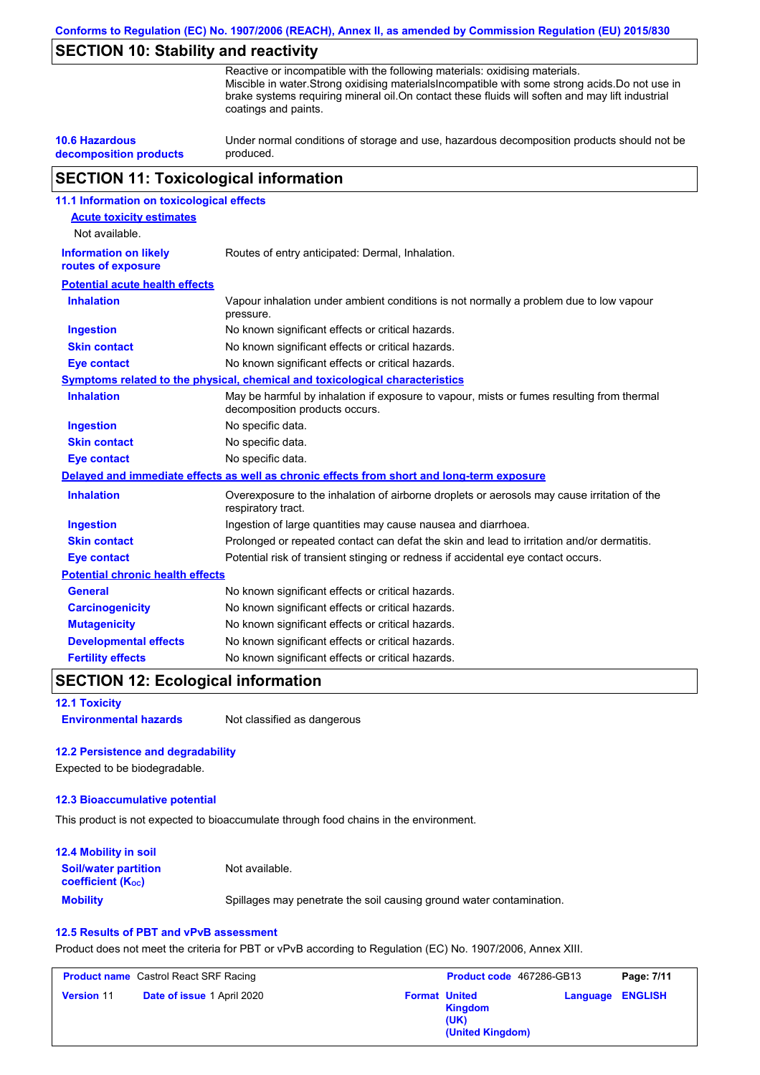**Conforms to Regulation (EC) No. 1907/2006 (REACH), Annex II, as amended by Commission Regulation (EU) 2015/830**

## **SECTION 10: Stability and reactivity**

Reactive or incompatible with the following materials: oxidising materials. Miscible in water.Strong oxidising materialsIncompatible with some strong acids.Do not use in brake systems requiring mineral oil.On contact these fluids will soften and may lift industrial coatings and paints.

**10.6 Hazardous decomposition products** Under normal conditions of storage and use, hazardous decomposition products should not be produced.

## **SECTION 11: Toxicological information**

| 11.1 Information on toxicological effects          |                                                                                                                             |
|----------------------------------------------------|-----------------------------------------------------------------------------------------------------------------------------|
| <b>Acute toxicity estimates</b>                    |                                                                                                                             |
| Not available.                                     |                                                                                                                             |
| <b>Information on likely</b><br>routes of exposure | Routes of entry anticipated: Dermal, Inhalation.                                                                            |
| <b>Potential acute health effects</b>              |                                                                                                                             |
| <b>Inhalation</b>                                  | Vapour inhalation under ambient conditions is not normally a problem due to low vapour<br>pressure.                         |
| <b>Ingestion</b>                                   | No known significant effects or critical hazards.                                                                           |
| <b>Skin contact</b>                                | No known significant effects or critical hazards.                                                                           |
| <b>Eye contact</b>                                 | No known significant effects or critical hazards.                                                                           |
|                                                    | Symptoms related to the physical, chemical and toxicological characteristics                                                |
| <b>Inhalation</b>                                  | May be harmful by inhalation if exposure to vapour, mists or fumes resulting from thermal<br>decomposition products occurs. |
| <b>Ingestion</b>                                   | No specific data.                                                                                                           |
| <b>Skin contact</b>                                | No specific data.                                                                                                           |
| <b>Eye contact</b>                                 | No specific data.                                                                                                           |
|                                                    | Delayed and immediate effects as well as chronic effects from short and long-term exposure                                  |
| <b>Inhalation</b>                                  | Overexposure to the inhalation of airborne droplets or aerosols may cause irritation of the<br>respiratory tract.           |
| <b>Ingestion</b>                                   | Ingestion of large quantities may cause nausea and diarrhoea.                                                               |
| <b>Skin contact</b>                                | Prolonged or repeated contact can defat the skin and lead to irritation and/or dermatitis.                                  |
| <b>Eye contact</b>                                 | Potential risk of transient stinging or redness if accidental eye contact occurs.                                           |
| <b>Potential chronic health effects</b>            |                                                                                                                             |
| General                                            | No known significant effects or critical hazards.                                                                           |
| <b>Carcinogenicity</b>                             | No known significant effects or critical hazards.                                                                           |
| <b>Mutagenicity</b>                                | No known significant effects or critical hazards.                                                                           |
| <b>Developmental effects</b>                       | No known significant effects or critical hazards.                                                                           |
| <b>Fertility effects</b>                           | No known significant effects or critical hazards.                                                                           |

## **SECTION 12: Ecological information**

### **12.1 Toxicity**

**Environmental hazards** Not classified as dangerous

### **12.2 Persistence and degradability**

Expected to be biodegradable.

### **12.3 Bioaccumulative potential**

This product is not expected to bioaccumulate through food chains in the environment.

| <b>12.4 Mobility in soil</b>                            |                                                                      |
|---------------------------------------------------------|----------------------------------------------------------------------|
| <b>Soil/water partition</b><br><b>coefficient (Koc)</b> | Not available.                                                       |
| <b>Mobility</b>                                         | Spillages may penetrate the soil causing ground water contamination. |

### **12.5 Results of PBT and vPvB assessment**

Product does not meet the criteria for PBT or vPvB according to Regulation (EC) No. 1907/2006, Annex XIII.

| <b>Product name</b> Castrol React SRF Racing |                      | <b>Product code</b> 467286-GB13 | Page: 7/11              |
|----------------------------------------------|----------------------|---------------------------------|-------------------------|
| <b>Date of issue 1 April 2020</b>            | <b>Format United</b> | <b>Kingdom</b>                  | <b>Language ENGLISH</b> |
| <b>Version 11</b>                            | (UK)                 | (United Kingdom)                |                         |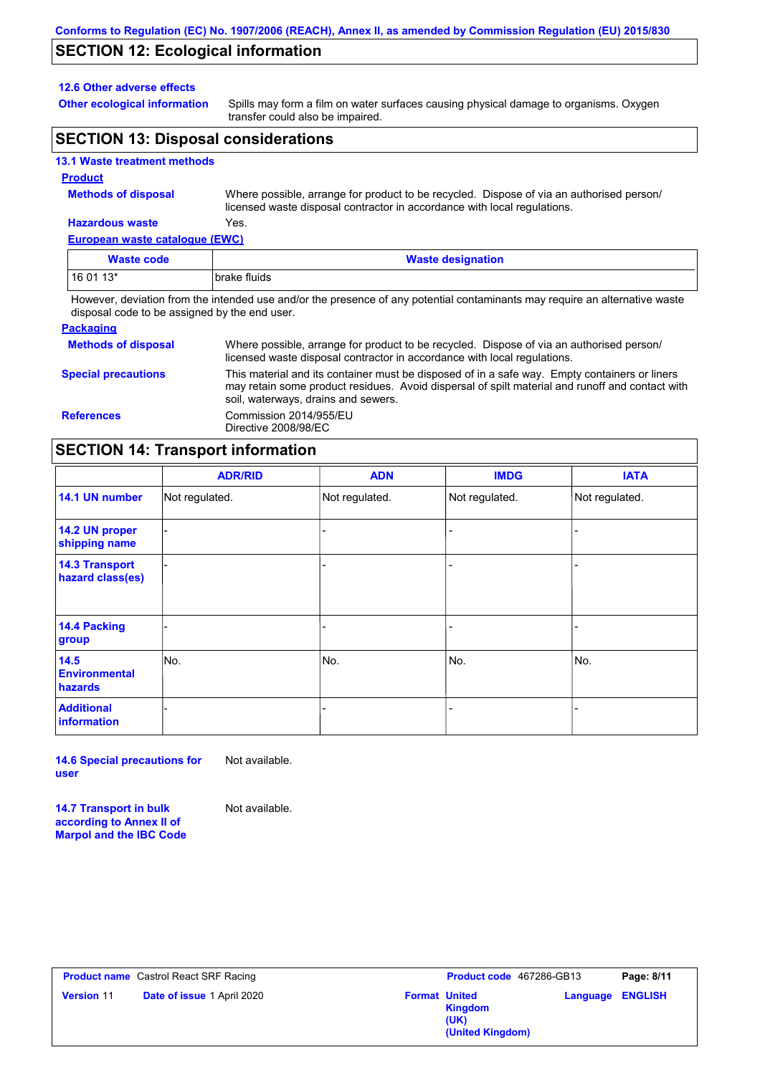## **SECTION 12: Ecological information**

### **12.6 Other adverse effects**

**Other ecological information**

Spills may form a film on water surfaces causing physical damage to organisms. Oxygen transfer could also be impaired.

## **SECTION 13: Disposal considerations**

### **13.1 Waste treatment methods**

#### **Product**

**Methods of disposal**

Where possible, arrange for product to be recycled. Dispose of via an authorised person/ licensed waste disposal contractor in accordance with local regulations.

## **Hazardous waste** Yes.

| European waste catalogue (EWC)                                                                                              |                          |  |
|-----------------------------------------------------------------------------------------------------------------------------|--------------------------|--|
| Waste code                                                                                                                  | <b>Waste designation</b> |  |
| $160113*$                                                                                                                   | brake fluids             |  |
| However, deviation from the intended use and/or the presence of any potential contaminants may require an alternative waste |                          |  |

disposal code to be assigned by the end user.

| <b>Packaging</b>           |                                                                                                                                                                                                                                         |
|----------------------------|-----------------------------------------------------------------------------------------------------------------------------------------------------------------------------------------------------------------------------------------|
| <b>Methods of disposal</b> | Where possible, arrange for product to be recycled. Dispose of via an authorised person/<br>licensed waste disposal contractor in accordance with local regulations.                                                                    |
| <b>Special precautions</b> | This material and its container must be disposed of in a safe way. Empty containers or liners<br>may retain some product residues. Avoid dispersal of spilt material and runoff and contact with<br>soil, waterways, drains and sewers. |
| <b>References</b>          | Commission 2014/955/EU<br>Directive 2008/98/EC                                                                                                                                                                                          |

# **SECTION 14: Transport information**

|                                           | <b>ADR/RID</b> | <b>ADN</b>     | <b>IMDG</b>    | <b>IATA</b>    |
|-------------------------------------------|----------------|----------------|----------------|----------------|
| 14.1 UN number                            | Not regulated. | Not regulated. | Not regulated. | Not regulated. |
| 14.2 UN proper<br>shipping name           |                |                |                |                |
| <b>14.3 Transport</b><br>hazard class(es) |                |                |                |                |
| 14.4 Packing<br>group                     |                |                | -              |                |
| 14.5<br><b>Environmental</b><br>hazards   | No.            | No.            | No.            | No.            |
| <b>Additional</b><br>information          |                |                | -              |                |

**14.6 Special precautions for user** Not available.

**14.7 Transport in bulk according to Annex II of Marpol and the IBC Code** Not available.

| <b>Version 11</b><br><b>Date of issue 1 April 2020</b><br><b>Language ENGLISH</b><br><b>Format United</b><br><b>Kingdom</b><br>(UK)<br>(United Kingdom) | <b>Product name</b> Castrol React SRF Racing | <b>Product code</b> 467286-GB13 | Page: 8/11 |
|---------------------------------------------------------------------------------------------------------------------------------------------------------|----------------------------------------------|---------------------------------|------------|
|                                                                                                                                                         |                                              |                                 |            |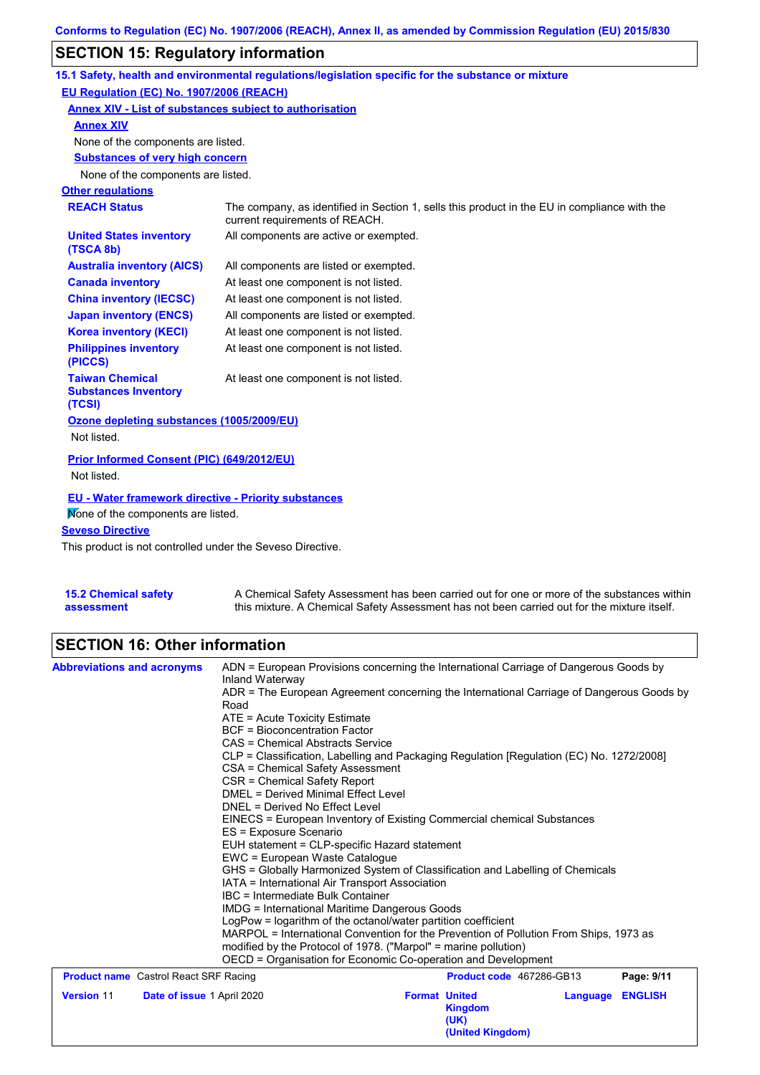# **SECTION 15: Regulatory information**

|                                                                 | 15.1 Safety, health and environmental regulations/legislation specific for the substance or mixture                            |  |  |
|-----------------------------------------------------------------|--------------------------------------------------------------------------------------------------------------------------------|--|--|
| EU Regulation (EC) No. 1907/2006 (REACH)                        |                                                                                                                                |  |  |
| Annex XIV - List of substances subject to authorisation         |                                                                                                                                |  |  |
| <b>Annex XIV</b>                                                |                                                                                                                                |  |  |
| None of the components are listed.                              |                                                                                                                                |  |  |
| <b>Substances of very high concern</b>                          |                                                                                                                                |  |  |
| None of the components are listed.                              |                                                                                                                                |  |  |
| <b>Other regulations</b>                                        |                                                                                                                                |  |  |
| <b>REACH Status</b>                                             | The company, as identified in Section 1, sells this product in the EU in compliance with the<br>current requirements of REACH. |  |  |
| <b>United States inventory</b><br>(TSCA 8b)                     | All components are active or exempted.                                                                                         |  |  |
| <b>Australia inventory (AICS)</b>                               | All components are listed or exempted.                                                                                         |  |  |
| <b>Canada inventory</b>                                         | At least one component is not listed.                                                                                          |  |  |
| <b>China inventory (IECSC)</b>                                  | At least one component is not listed.                                                                                          |  |  |
| <b>Japan inventory (ENCS)</b>                                   | All components are listed or exempted.                                                                                         |  |  |
| <b>Korea inventory (KECI)</b>                                   | At least one component is not listed.                                                                                          |  |  |
| <b>Philippines inventory</b><br>(PICCS)                         | At least one component is not listed.                                                                                          |  |  |
| <b>Taiwan Chemical</b><br><b>Substances Inventory</b><br>(TCSI) | At least one component is not listed.                                                                                          |  |  |
| Ozone depleting substances (1005/2009/EU)                       |                                                                                                                                |  |  |
| Not listed.                                                     |                                                                                                                                |  |  |
| Prior Informed Consent (PIC) (649/2012/EU)                      |                                                                                                                                |  |  |
| Not listed.                                                     |                                                                                                                                |  |  |
| <b>EU - Water framework directive - Priority substances</b>     |                                                                                                                                |  |  |
| Mone of the components are listed.                              |                                                                                                                                |  |  |
| <b>Seveso Directive</b>                                         |                                                                                                                                |  |  |
| This product is not controlled under the Seveso Directive       |                                                                                                                                |  |  |

This product is not controlled under the Seveso Directive.

| <b>15.2 Chemical safety</b> | A Chemical Safety Assessment has been carried out for one or more of the substances within  |
|-----------------------------|---------------------------------------------------------------------------------------------|
| assessment                  | this mixture. A Chemical Safety Assessment has not been carried out for the mixture itself. |

# **SECTION 16: Other information**

| <b>Abbreviations and acronyms</b>            | ADN = European Provisions concerning the International Carriage of Dangerous Goods by                       |                                                                                                                 |                          |          |                |  |  |
|----------------------------------------------|-------------------------------------------------------------------------------------------------------------|-----------------------------------------------------------------------------------------------------------------|--------------------------|----------|----------------|--|--|
|                                              | Inland Waterway<br>ADR = The European Agreement concerning the International Carriage of Dangerous Goods by |                                                                                                                 |                          |          |                |  |  |
|                                              | Road                                                                                                        |                                                                                                                 |                          |          |                |  |  |
|                                              | ATE = Acute Toxicity Estimate<br><b>BCF</b> = Bioconcentration Factor                                       |                                                                                                                 |                          |          |                |  |  |
|                                              |                                                                                                             | CAS = Chemical Abstracts Service                                                                                |                          |          |                |  |  |
|                                              |                                                                                                             | CLP = Classification, Labelling and Packaging Regulation [Regulation (EC) No. 1272/2008]                        |                          |          |                |  |  |
|                                              | CSA = Chemical Safety Assessment                                                                            |                                                                                                                 |                          |          |                |  |  |
|                                              | CSR = Chemical Safety Report                                                                                |                                                                                                                 |                          |          |                |  |  |
|                                              | <b>DMEL = Derived Minimal Effect Level</b>                                                                  |                                                                                                                 |                          |          |                |  |  |
|                                              |                                                                                                             | DNEL = Derived No Effect Level                                                                                  |                          |          |                |  |  |
|                                              | EINECS = European Inventory of Existing Commercial chemical Substances                                      |                                                                                                                 |                          |          |                |  |  |
|                                              | ES = Exposure Scenario                                                                                      |                                                                                                                 |                          |          |                |  |  |
|                                              | EUH statement = CLP-specific Hazard statement                                                               |                                                                                                                 |                          |          |                |  |  |
|                                              |                                                                                                             | EWC = European Waste Catalogue<br>GHS = Globally Harmonized System of Classification and Labelling of Chemicals |                          |          |                |  |  |
|                                              | IATA = International Air Transport Association                                                              |                                                                                                                 |                          |          |                |  |  |
|                                              |                                                                                                             | IBC = Intermediate Bulk Container                                                                               |                          |          |                |  |  |
|                                              | <b>IMDG = International Maritime Dangerous Goods</b>                                                        |                                                                                                                 |                          |          |                |  |  |
|                                              | LogPow = logarithm of the octanol/water partition coefficient                                               |                                                                                                                 |                          |          |                |  |  |
|                                              | MARPOL = International Convention for the Prevention of Pollution From Ships, 1973 as                       |                                                                                                                 |                          |          |                |  |  |
|                                              |                                                                                                             | modified by the Protocol of 1978. ("Marpol" = marine pollution)                                                 |                          |          |                |  |  |
|                                              | OECD = Organisation for Economic Co-operation and Development                                               |                                                                                                                 |                          |          |                |  |  |
| <b>Product name</b> Castrol React SRF Racing |                                                                                                             |                                                                                                                 | Product code 467286-GB13 |          | Page: 9/11     |  |  |
| <b>Version 11</b>                            | Date of issue 1 April 2020                                                                                  | <b>Format United</b>                                                                                            |                          | Language | <b>ENGLISH</b> |  |  |
|                                              |                                                                                                             |                                                                                                                 | <b>Kingdom</b>           |          |                |  |  |
|                                              |                                                                                                             |                                                                                                                 | (UK)                     |          |                |  |  |
|                                              |                                                                                                             |                                                                                                                 | (United Kingdom)         |          |                |  |  |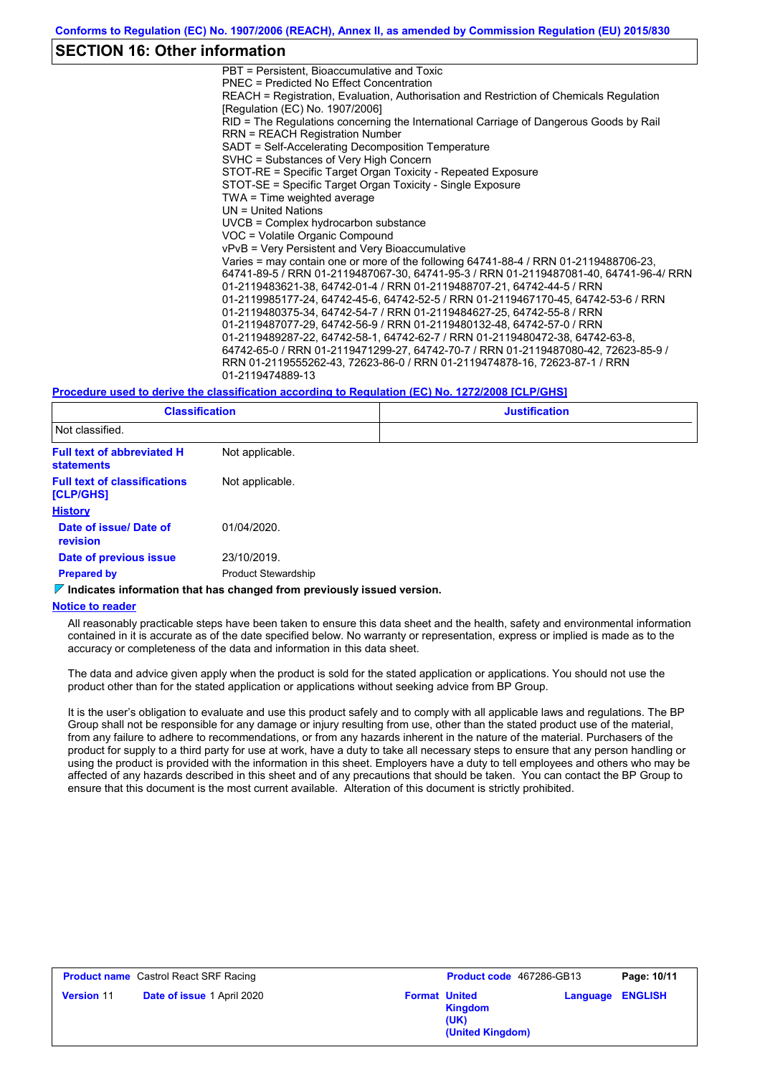### **SECTION 16: Other information**

PBT = Persistent, Bioaccumulative and Toxic PNEC = Predicted No Effect Concentration REACH = Registration, Evaluation, Authorisation and Restriction of Chemicals Regulation [Regulation (EC) No. 1907/2006] RID = The Regulations concerning the International Carriage of Dangerous Goods by Rail RRN = REACH Registration Number SADT = Self-Accelerating Decomposition Temperature SVHC = Substances of Very High Concern STOT-RE = Specific Target Organ Toxicity - Repeated Exposure STOT-SE = Specific Target Organ Toxicity - Single Exposure TWA = Time weighted average UN = United Nations UVCB = Complex hydrocarbon substance VOC = Volatile Organic Compound vPvB = Very Persistent and Very Bioaccumulative Varies = may contain one or more of the following 64741-88-4 / RRN 01-2119488706-23, 64741-89-5 / RRN 01-2119487067-30, 64741-95-3 / RRN 01-2119487081-40, 64741-96-4/ RRN 01-2119483621-38, 64742-01-4 / RRN 01-2119488707-21, 64742-44-5 / RRN 01-2119985177-24, 64742-45-6, 64742-52-5 / RRN 01-2119467170-45, 64742-53-6 / RRN 01-2119480375-34, 64742-54-7 / RRN 01-2119484627-25, 64742-55-8 / RRN 01-2119487077-29, 64742-56-9 / RRN 01-2119480132-48, 64742-57-0 / RRN 01-2119489287-22, 64742-58-1, 64742-62-7 / RRN 01-2119480472-38, 64742-63-8, 64742-65-0 / RRN 01-2119471299-27, 64742-70-7 / RRN 01-2119487080-42, 72623-85-9 / RRN 01-2119555262-43, 72623-86-0 / RRN 01-2119474878-16, 72623-87-1 / RRN 01-2119474889-13

#### **Procedure used to derive the classification according to Regulation (EC) No. 1272/2008 [CLP/GHS]**

| <b>Classification</b><br>Not classified.         |                            | <b>Justification</b> |  |  |
|--------------------------------------------------|----------------------------|----------------------|--|--|
|                                                  |                            |                      |  |  |
| <b>Full text of classifications</b><br>[CLP/GHS] | Not applicable.            |                      |  |  |
| <b>History</b>                                   |                            |                      |  |  |
| Date of issue/ Date of<br>revision               | 01/04/2020.                |                      |  |  |
| Date of previous issue                           | 23/10/2019.                |                      |  |  |
| <b>Prepared by</b>                               | <b>Product Stewardship</b> |                      |  |  |

**Indicates information that has changed from previously issued version.**

#### **Notice to reader**

All reasonably practicable steps have been taken to ensure this data sheet and the health, safety and environmental information contained in it is accurate as of the date specified below. No warranty or representation, express or implied is made as to the accuracy or completeness of the data and information in this data sheet.

The data and advice given apply when the product is sold for the stated application or applications. You should not use the product other than for the stated application or applications without seeking advice from BP Group.

It is the user's obligation to evaluate and use this product safely and to comply with all applicable laws and regulations. The BP Group shall not be responsible for any damage or injury resulting from use, other than the stated product use of the material, from any failure to adhere to recommendations, or from any hazards inherent in the nature of the material. Purchasers of the product for supply to a third party for use at work, have a duty to take all necessary steps to ensure that any person handling or using the product is provided with the information in this sheet. Employers have a duty to tell employees and others who may be affected of any hazards described in this sheet and of any precautions that should be taken. You can contact the BP Group to ensure that this document is the most current available. Alteration of this document is strictly prohibited.